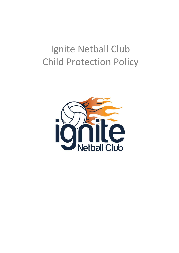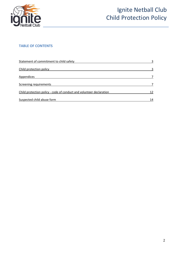

### **TABLE OF CONTENTS**

| Statement of commitment to child safety                             | 3  |  |
|---------------------------------------------------------------------|----|--|
| Child protection policy                                             | 3  |  |
| <b>Appendices</b>                                                   |    |  |
| Screening requirements                                              |    |  |
| Child protection policy - code of conduct and volunteer declaration | 12 |  |
| Suspected child abuse form                                          | 14 |  |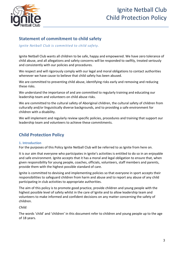

### **Statement of commitment to child safety**

*Ignite Netball Club is committed to child safety.*

Ignite Netball Club wants all children to be safe, happy and empowered. We have zero tolerance of child abuse, and all allegations and safety concerns will be responded to swiftly, treated seriously and consistently with our policies and procedures.

We respect and will rigorously comply with our legal and moral obligations to contact authorities whenever we have cause to believe that child safety has been abused.

We are committed to preventing child abuse, identifying risks early and removing and reducing these risks.

We understand the importance of and are committed to regularly training and educating our leadership team and volunteers on child abuse risks.

We are committed to the cultural safety of Aboriginal children, the cultural safety of children from culturally and/or linguistically diverse backgrounds, and to providing a safe environment for children with a disability.

We will implement and regularly review specific policies, procedures and training that support our leadership team and volunteers to achieve these commitments.

### **Child Protection Policy**

#### **1. Introduction**

For the purposes of this Policy Ignite Netball Club will be referred to as Ignite from here on.

It is our aim that everyone who participates in Ignite's activities is entitled to do so in an enjoyable and safe environment. Ignite accepts that it has a moral and legal obligation to ensure that, when given responsibility for young people, coaches, officials, volunteers, staff members and parents, provide them with the highest possible standard of care.

Ignite is committed to devising and implementing policies so that everyone in sport accepts their responsibilities to safeguard children from harm and abuse and to report any abuse of any child participating in club activities to appropriate authorities.

The aim of this policy is to promote good practice, provide children and young people with the highest possible level of safety whilst in the care of Ignite and to allow leadership team and volunteers to make informed and confident decisions on any matter concerning the safety of children.

*Child:*

The words 'child' and 'children' in this document refer to children and young people up to the age of 18 years.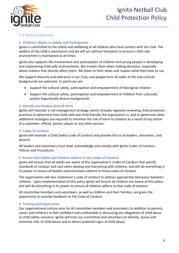

#### *1.1 Policy Statement*

#### **1. Children's Rights to Safety and Participation**

Ignite is committed to the safety and wellbeing of all children who have contact with the Club. The welfare of the child is paramount and we will act without hesitation to ensure a child safe environment is maintained at all times.

Ignite also supports the involvement and participation of children and young people in developing and maintaining child-safe environments. We involve them when making decisions, especially about matters that directly affect them. We listen to their views and respect what they have to say.

We support diversity and tolerance in our Club, and people from all walks of life and cultural backgrounds are welcome. In particular we:

- Support the cultural safety, participation and empowerment of Aboriginal children
- Support the cultural safety, participation and empowerment of children from culturally and/or linguistically diverse backgrounds

#### **2. Identify and Analyse Risk of Harm**

Ignite will maintain a risk management strategy, which includes regularly reviewing child protection practices to determine how child-safe and child-friendly the organisation is, and to determine what additional strategies are required to minimise the risk of harm to children as a result of any action of a volunteer, official, parent, player or any other person.

#### **3. Codes of Conduct**

Ignite will maintain a Child Safety Code of Conduct and provide this to all leaders, volunteers, and parents.

All leaders and volunteers must read, acknowledge and comply with Ignite Codes of Conduct, Policies and Procedures.

#### **4. Ensure that Adults and Children Adhere to the Codes of Conduct**

Ignite will ensure that all adults are aware of the organisation's Codes of Conduct that specify standards of conduct and care when dealing and interacting with children, and will do everything in its power to ensure all leaders and volunteers adhere to those codes of conduct.

The organisation will also implement a code of conduct to address appropriate behaviour between children. Upon implementation of this policy Ignite will ensure all children are aware of this policy and will do everything in its power to ensure all children adhere to that code of conduct.

All committee members and volunteers, as well as children and their families, are given the opportunity to provide feedback on the Code of Conduct.

#### **5. Training and Supervision**

Our organisational culture aims for all committee members and volunteers (in addition to parents, carers and children) to feel confident and comfortable in discussing any allegations of child abuse or child safety concerns. Ignite will train our committee and volunteers to identify, assess and minimise risks of child abuse and to detect potential signs of child abuse.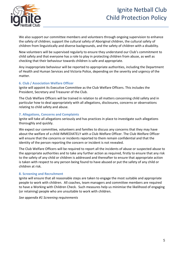

We also support our committee members and volunteers through ongoing supervision to enhance the safety of children; support the cultural safety of Aboriginal children, the cultural safety of children from linguistically and diverse backgrounds, and the safety of children with a disability.

New volunteers will be supervised regularly to ensure they understand our Club's commitment to child safety and that everyone has a role to play in protecting children from abuse, as well as checking that their behaviour towards children is safe and appropriate.

Any inappropriate behaviour will be reported to appropriate authorities, including the Department of Health and Human Services and Victoria Police, depending on the severity and urgency of the matter.

#### **6. Club / Association Welfare Officer**

Ignite will appoint its Executive Committee as the Club Welfare Officers. This includes the President, Secretary and Treasurer of the Club.

The Club Welfare Officers will be trained in relation to all matters concerning child safety and in particular how to deal appropriately with all allegations, disclosures, concerns or observations relating to child safety and abuse.

#### **7. Allegations, Concerns and Complaints**

Ignite will take all allegations seriously and has practices in place to investigate such allegations thoroughly and quickly.

We expect our committee, volunteers and families to discuss any concerns that they may have about the welfare of a child IMMEDIATELY with a Club Welfare Officer. The Club Welfare Officer will ensure that the concerns or incidents reported to them remain confidential and that the identity of the person reporting the concern or incident is not revealed.

The Club Welfare Officers will be required to report all the incidents of abuse or suspected abuse to the appropriate authorities and to take any further action as required, firstly to ensure that any risk to the safety of any child or children is addressed and thereafter to ensure that appropriate action is taken with respect to any person being found to have abused or put the safety of any child or children at risk.

#### **8. Screening and Recruitment**

Ignite will ensure that all reasonable steps are taken to engage the most suitable and appropriate people to work with children. All coaches, team managers and committee members are required to have a Working with Children Check. Such measures help us minimise the likelihood of engaging (or retaining) people who are unsuitable to work with children.

*See appendix #1 Screening requirements*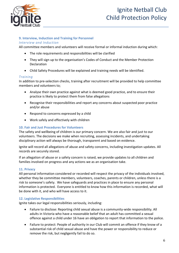

#### **9. Interview, Induction and Training for Personnel**

#### *Interview and Induction*

All committee members and volunteers will receive formal or informal induction during which:

- The role requirements and responsibilities will be clarified
- They will sign up to the organisation's Codes of Conduct and the Member Protection Declaration
- Child Safety Procedures will be explained and training needs will be identified.

#### *Training*

In addition to pre-selection checks, training after recruitment will be provided to help committee members and volunteers to;

- Analyse their own practice against what is deemed good practice, and to ensure their practice is likely to protect them from false allegations
- Recognise their responsibilities and report any concerns about suspected poor practice and/or abuse
- Respond to concerns expressed by a child
- Work safely and effectively with children

#### **10. Fair and Just Procedures for Volunteers**

The safety and wellbeing of children is our primary concern. We are also fair and just to our volunteers. The decisions we make when recruiting, assessing incidents, and undertaking disciplinary action will always be thorough, transparent and based on evidence.

Ignite will record all allegations of abuse and safety concerns, including investigation updates. All records are securely stored.

If an allegation of abuse or a safety concern is raised, we provide updates to all children and families involved on progress and any actions we as an organisation take.

#### **11. Privacy**

All personal information considered or recorded will respect the privacy of the individuals involved, whether they be committee members, volunteers, coaches, parents or children, unless there is a risk to someone's safety. We have safeguards and practices in place to ensure any personal information is protected. Everyone is entitled to know how this information is recorded, what will be done with it, and who will have access to it.

#### **12. Legislative Responsibilities**

Ignite takes our legal responsibilities seriously, including:

- Failure to disclose: Reporting child sexual abuse is a community-wide responsibility. All adults in Victoria who have a reasonable belief that an adult has committed a sexual offence against a child under 16 have an obligation to report that information to the police.
- Failure to protect: People of authority in our Club will commit an offence if they know of a substantial risk of child sexual abuse and have the power or responsibility to reduce or remove the risk, but negligently fail to do so.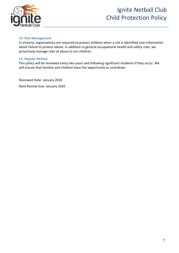

#### **13. Risk Management**

In Victoria, organisations are required to protect children when a risk is identified (see information about failure to protect above. In addition to general occupational health and safety risks, we proactively manage risks of abuse to our children.

#### **14. Regular Review**

This policy will be reviewed every two years and following significant incidents if they occur. We will ensure that families and children have the opportunity to contribute.

Reviewed Date: January 2018

Next Review Due: January 2020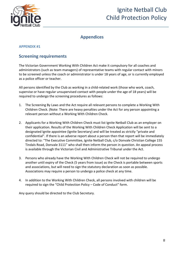

### **Appendices**

#### **APPENDIX #1**

### **Screening requirements**

The Victorian Government Working With Children Act make it compulsory for all coaches and administrators (such as team managers) of representative teams with regular contact with minors to be screened unless the coach or administrator is under 18 years of age, or is currently employed as a police officer or teacher.

All persons identified by the Club as working in a child-related work (those who work, coach, supervise or have regular unsupervised contact with people under the age of 18 years) will be required to undergo the screening procedures as follows:

- 1. The Screening By Laws and the Act require all relevant persons to complete a Working With Children Check. (Note: There are heavy penalties under the Act for any person appointing a relevant person without a Working With Children Check.
- 2. Applicants for a Working With Children Check must list Ignite Netball Club as an employer on their application. Results of the Working With Children Check Application will be sent to a designated Ignite appointee (Ignite Secretary) and will be treated as strictly "private and confidential". If there is an adverse report about a person then that report will be immediately directed to: "The Executive Committee, Ignite Netball Club, c/o Donvale Christian College 155 Tindals Road, Donvale 3111" who shall then inform the person in question. An appeal process is available through the Victorian Civil and Administrative Tribunal under the Act.
- 3. Persons who already have the Working With Children Check will not be required to undergo another until expiry of the Check (5 years from issue) as the Check is portable between sports and associations, but will need to sign the statutory declaration as soon as possible. Associations may require a person to undergo a police check at any time.
- 4. In addition to the Working With Children Check, all persons involved with children will be required to sign the "Child Protection Policy – Code of Conduct" form.

Any query should be directed to the Club Secretary.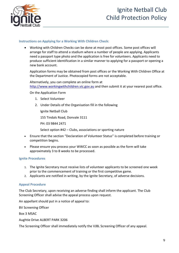

#### **Instructions on Applying for a Working With Children Check:**

• Working with Children Checks can be done at most post offices. Some post offices will arrange for staff to attend a stadium where a number of people are applying. Applicants need a passport type photo and the application is free for volunteers. Applicants need to produce sufficient identification in a similar manner to applying for a passport or opening a new bank account.

Application forms may be obtained from post offices or the Working With Children Office at the Department of Justice. Photocopied forms are not acceptable.

Alternatively, you can complete an online form at [http://www.workingwithchildren.vic.gov.au](http://www.workingwithchildren.vic.gov.au/) and then submit it at your nearest post office.

On the Application Form

- 1. Select Volunteer
- 2. Under Details of the Organisation fill in the following

Ignite Netball Club

155 Tindals Road, Donvale 3111

PH: 03 9844 2471

Select option #42 – Clubs, associations or sporting nature

- Ensure that the section "Declaration of Volunteer Status" is completed before training or competition begins.
- Please ensure you process your WWCC as soon as possible as the form will take approximately 3 to 8 weeks to be processed.

#### **Ignite Procedures**

- 1. The Ignite Secretary must receive lists of volunteer applicants to be screened one week prior to the commencement of training or the first competitive game.
- 2. Applicants are notified in writing, by the Ignite Secretary, of adverse decisions.

#### **Appeal Procedure**

The Club Secretary, upon receiving an adverse finding shall inform the applicant. The Club Screening Officer shall advise the appeal process upon request.

An appellant should put in a notice of appeal to:

BV Screening Officer

Box 3 MSAC

Aughtie Drive ALBERT PARK 3206

The Screening Officer shall immediately notify the VJBL Screening Officer of any appeal.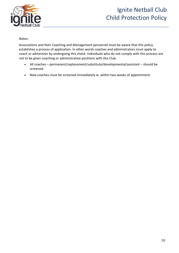

#### Notes:

Associations and their Coaching and Management personnel must be aware that this policy establishes a process of application. In other words coaches and administrators must apply to coach or administer by undergoing this check. Individuals who do not comply with this process are not to be given coaching or administrative positions with this Club.

- All coaches permanent/replacement/substitute/developmental/assistant should be screened.
- New coaches must be screened immediately ie. within two weeks of appointment.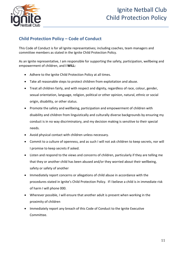

### **Child Protection Policy – Code of Conduct**

This Code of Conduct is for all Ignite representatives; including coaches, team managers and committee members as stated in the Ignite Child Protection Policy.

As an Ignite representative, I am responsible for supporting the safety, participation, wellbeing and empowerment of children, and **I WILL:**

- Adhere to the Ignite Child Protection Policy at all times.
- Take all reasonable steps to protect children from exploitation and abuse.
- Treat all children fairly, and with respect and dignity, regardless of race, colour, gender, sexual orientation, language, religion, political or other opinion, natural, ethnic or social origin, disability, or other status.
- Promote the safety and wellbeing, participation and empowerment of children with disability and children from linguistically and culturally diverse backgrounds by ensuring my conduct is in no way discriminatory, and my decision making is sensitive to their special needs.
- Avoid physical contact with children unless necessary.
- Commit to a culture of openness, and as such I will not ask children to keep secrets, nor will I promise to keep secrets if asked.
- Listen and respond to the views and concerns of children, particularly if they are telling me that they or another child has been abused and/or they worried about their wellbeing, safety or safety of another
- Immediately report concerns or allegations of child abuse in accordance with the procedures stated in Ignite's Child Protection Policy. If I believe a child is in immediate risk of harm I will phone 000.
- Wherever possible, I will ensure that another adult is present when working in the proximity of children
- Immediately report any breach of this Code of Conduct to the Ignite Executive Committee.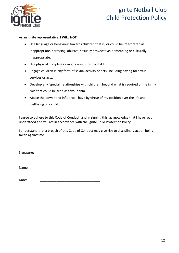

As an Ignite representative, **I WILL NOT:**

- Use language or behaviour towards children that is, or could be interpreted as inappropriate, harassing, abusive, sexually provocative, demeaning or culturally inappropriate.
- Use physical discipline or in any way punish a child.
- Engage children in any form of sexual activity or acts, including paying for sexual services or acts.
- Develop any 'special 'relationships with children, beyond what is required of me in my role that could be seen as favouritism.
- Abuse the power and influence I have by virtue of my position over the life and wellbeing of a child.

I agree to adhere to this Code of Conduct, and in signing this, acknowledge that I have read, understood and will act in accordance with the Ignite Child Protection Policy.

I understand that a breach of this Code of Conduct may give rise to disciplinary action being taken against me.

Signature:

Name: \_\_\_\_\_\_\_\_\_\_\_\_\_\_\_\_\_\_\_\_\_\_\_\_\_\_\_\_\_\_\_\_\_

Date: \_\_\_\_\_\_\_\_\_\_\_\_\_\_\_\_\_\_\_\_\_\_\_\_\_\_\_\_\_\_\_\_\_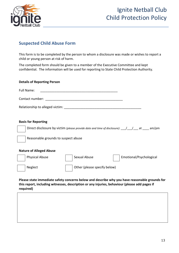

### **Suspected Child Abuse Form**

This form is to be completed by the person to whom a disclosure was made or wishes to report a child or young person at risk of harm.

The completed form should be given to a member of the Executive Committee and kept confidential. The information will be used for reporting to State Child Protection Authority.

#### **Details of Reporting Person**

| Full Name:                      |  |
|---------------------------------|--|
| Contact number:                 |  |
| Relationship to alleged victim: |  |

#### **Basis for Reporting**

Direct disclosure by victim *(please provide date and time of disclosure):* \_\_\_/\_\_\_/\_\_\_ at \_\_\_\_ am/pm

Reasonable grounds to suspect abuse

#### **Nature of Alleged Abuse**



**Please state immediate safety concerns below and describe why you have reasonable grounds for this report, including witnesses, description or any injuries, behaviour (please add pages if required)**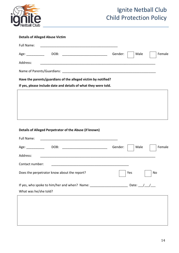

| <b>Details of Alleged Abuse Victim</b>                                                                                           |         |     |             |    |        |
|----------------------------------------------------------------------------------------------------------------------------------|---------|-----|-------------|----|--------|
| Full Name:                                                                                                                       |         |     |             |    |        |
|                                                                                                                                  | Gender: |     | Male        |    | Female |
| Address:                                                                                                                         |         |     |             |    |        |
|                                                                                                                                  |         |     |             |    |        |
| Have the parents/guardians of the alleged victim by notified?                                                                    |         |     |             |    |        |
| If yes, please include date and details of what they were told.                                                                  |         |     |             |    |        |
|                                                                                                                                  |         |     |             |    |        |
|                                                                                                                                  |         |     |             |    |        |
|                                                                                                                                  |         |     |             |    |        |
|                                                                                                                                  |         |     |             |    |        |
| Details of Alleged Perpetrator of the Abuse (if known)                                                                           |         |     |             |    |        |
| Full Name:                                                                                                                       |         |     |             |    |        |
| Age: $\frac{1}{2}$                                                                                                               | Gender: |     | Male        |    | Female |
| Address:<br><u> 1989 - Jan James James Barnett, amerikan basar dan berasal dalam pengaran basar dalam pengaran basar dalam p</u> |         |     |             |    |        |
| Contact number:                                                                                                                  |         |     |             |    |        |
| Does the perpetrator know about the report?                                                                                      |         | Yes |             | No |        |
|                                                                                                                                  |         |     |             |    |        |
| If yes, who spoke to him/her and when? Name: ___________________________________                                                 |         |     | Date: $/$ / |    |        |
| What was he/she told?                                                                                                            |         |     |             |    |        |
|                                                                                                                                  |         |     |             |    |        |
|                                                                                                                                  |         |     |             |    |        |
|                                                                                                                                  |         |     |             |    |        |